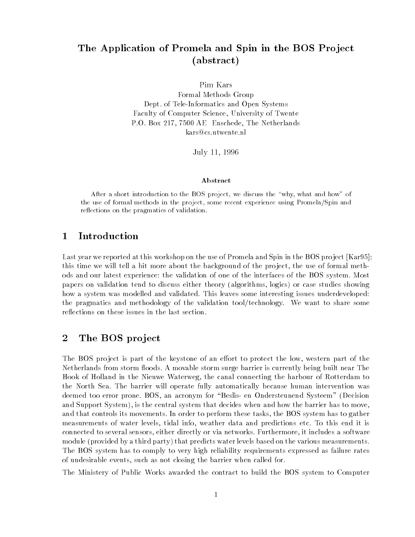# The Application of Promela and Spin in the BOS Project (abstract)

Pim Kars

Formal Methods Group Dept. of Tele-Informatics and Open Systems Faculty of Computer Science, University of Twente P.O. Box 217, 7500 AE Enschede, The Netherlands kars@cs.utwente.nl

July 11, 1996

### Abstract

After a short introduction to the BOS project, we discuss the "why, what and how" of the use of formal methods in the project, some recent experience using Promela/Spin and reflections on the pragmatics of validation.

### 1 Introduction

Last year we reported at this workshop on the use of Promela and Spin in the BOS project [Kar95]; this time we will tell a bit more about the background of the pro ject, the use of formal methods and our latest experience: the validation of one of the interfaces of the BOS system. Most papers on validation tend to discuss either theory (algorithms, logics) or case studies showing how a system was modelled and validated. This leaves some interesting issues underdeveloped: the pragmatics and methodology of the validation tool/technology. We want to share some reflections on these issues in the last section.

## 2 The BOS project

The BOS project is part of the keystone of an effort to protect the low, western part of the Netherlands from storm floods. A movable storm surge barrier is currently being built near The Hook of Holland in the Nieuwe Waterweg, the canal connecting the harbour of Rotterdam to the North Sea. The barrier will operate fully automatically because human intervention was deemed too error prone. BOS, an acronym for "Beslis- en Ondersteunend Systeem" (Decision and Support System), is the central system that decides when and how the barrier has to move, and that controls its movements. In order to perform these tasks, the BOS system has to gather measurements of water levels, tidal info, weather data and predictions etc. To this end it is connected to several sensors, either directly or via networks. Furthermore, it includes a software module (provided by a third party) that predicts water levels based on the various measurements. The BOS system has to comply to very high reliability requirements expressed as failure rates of undesirable events, such as not closing the barrier when called for.

The Ministery of Public Works awarded the contract to build the BOS system to Computer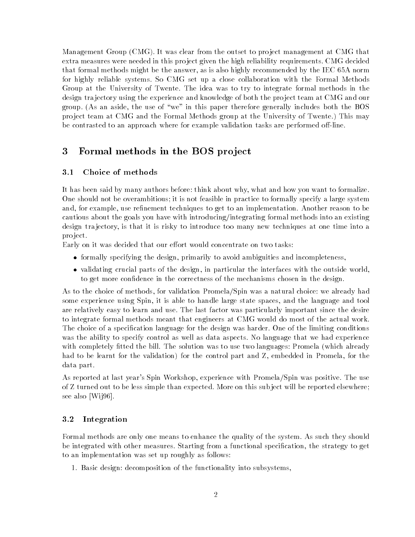Management Group (CMG). It was clear from the outset to pro ject management at CMG that extra measures were needed in this pro ject given the high reliability requirements. CMG decided that formal methods might be the answer, as is also highly recommended by the IEC 65A norm for highly reliable systems. So CMG set up a close collaboration with the Formal Methods Group at the University of Twente. The idea was to try to integrate formal methods in the design tra jectory using the experience and knowledge of both the pro ject team at CMG and our group. (As an aside, the use of \we" in this paper therefore generally includes both the BOS pro ject team at CMG and the Formal Methods group at the University of Twente.) This may be contrasted to an approach where for example validation tasks are performed off-line.

## 3 Formal methods in the BOS project

### 3.1Choice of methods

It has been said by many authors before: think about why, what and how you want to formalize. One should not be overambitious; it is not feasible in practice to formally specify a large system and, for example, use refinement techniques to get to an implementation. Another reason to be cautious about the goals you have with introducing/integrating formal methods into an existing design tra jectory, is that it is risky to introduce too many new techniques at one time into a pro ject.

Early on it was decided that our effort would concentrate on two tasks:

- formally specifying the design, primarily to avoid ambiguities and incompleteness,
- validating crucial parts of the design, in particular the interfaces with the outside world, to get more condence in the correctness of the mechanisms chosen in the design.

As to the choice of methods, for validation Promela/Spin was a natural choice: we already had some experience using Spin, it is able to handle large state spaces, and the language and tool are relatively easy to learn and use. The last factor was particularly important since the desire to integrate formal methods meant that engineers at CMG would do most of the actual work. The choice of a specification language for the design was harder. One of the limiting conditions was the ability to specify control as well as data aspects. No language that we had experience with completely fitted the bill. The solution was to use two languages: Promela (which already had to be learnt for the validation) for the control part and Z, embedded in Promela, for the data part.

As reported at last year's Spin Workshop, experience with Promela/Spin was positive. The use of Z turned out to be less simple than expected. More on this sub ject will be reported elsewhere; see also [Wij96].

#### 3.2Integration

Formal methods are only one means to enhance the quality of the system. As such they should be integrated with other measures. Starting from a functional specification, the strategy to get to an implementation was set up roughly as follows:

1. Basic design: decomposition of the functionality into subsystems,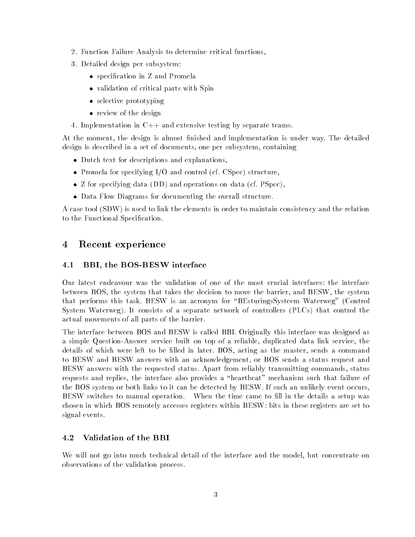- 2. Function Failure Analysis to determine critical functions,
- 3. Detailed design per subsystem:
	- s specification in 2 and 1 cities.
	- validation of critical parts with Spin
	- selective prototyping
	- review of the design of the design of the design of the design of the design of the design of the design of the
- 4. Implementation in C++ and extensive testing by separate teams.

At the moment, the design is almost finished and implementation is under way. The detailed design is described in a set of documents, one per subsystem, containing

- Dutch text for descriptions and explanations,
- Promela for specifying I/O and control (cf. CSpec) structure,
- Z for specifying data (DD) and operations on data (cf. PSpec),
- Data Flow Diagrams for documenting the overall structure.

A case tool (SDW) is used to link the elements in order to maintain consistency and the relation to the Functional Specification.

### 4 Recent experience

#### 4.1BBI, the BOS-BESW interface

Our latest endeavour was the validation of one of the most crucial interfaces: the interface between BOS, the system that takes the decision to move the barrier, and BESW, the system that performs this task. BESW is an acronym for "BEsturingsSysteem Waterweg" (Control System Waterweg). It consists of a separate network of controllers (PLCs) that control the actual movements of all parts of the barrier.

The interface between BOS and BESW is called BBI. Originally this interface was designed as a simple Question-Answer service built on top of a reliable, duplicated data link service, the details of which were left to be filled in later. BOS, acting as the master, sends a command to BESW and BESW answers with an acknowledgement, or BOS sends a status request and BESW answers with the requested status. Apart from reliably transmitting commands, status requests and replies, the interface also provides a "heartbeat" mechanism such that failure of the BOS system or both links to it can be detected by BESW. If such an unlikely event occurs, BESW switches to manual operation. When the time came to fill in the details a setup was chosen in which BOS remotely accesses registers within BESW: bits in these registers are set to signal events.

#### 4.2Validation of the BBI

We will not go into much technical detail of the interface and the model, but concentrate on observations of the validation process.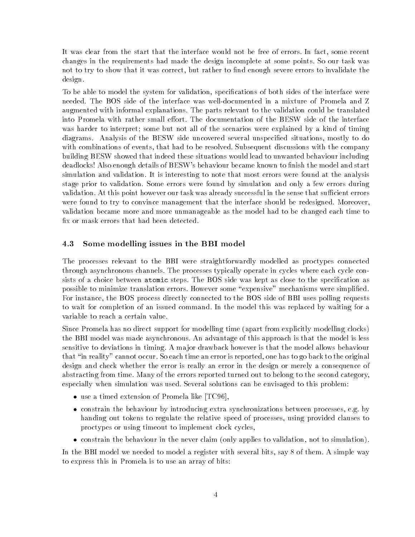It was clear from the start that the interface would not be free of errors. In fact, some recent changes in the requirements had made the design incomplete at some points. So our task was not to try to show that it was correct, but rather to find enough severe errors to invalidate the design.

To be able to model the system for validation, specications of both sides of the interface were needed. The BOS side of the interface was well-documented in a mixture of Promela and Z augmented with informal explanations. The parts relevant to the validation could be translated into Promela with rather small effort. The documentation of the BESW side of the interface was harder to interpret; some but not all of the scenarios were explained by a kind of timing diagrams. Analysis of the BESW side uncovered several unspecified situations, mostly to do with combinations of events, that had to be resolved. Subsequent discussions with the company building BESW showed that indeed these situations would lead to unwanted behaviour including deadlocks! Also enough details of BESW's behaviour became known to finish the model and start simulation and validation. It is interesting to note that most errors were found at the analysis stage prior to validation. Some errors were found by simulation and only a few errors during validation. At this point however our task was already successful in the sense that sufficient errors were found to try to convince management that the interface should be redesigned. Moreover, validation became more and more unmanageable as the model had to be changed each time to x or mask errors that had been detected.

#### 4.3Some modelling issues in the BBI model

The processes relevant to the BBI were straightforwardly modelled as proctypes connected through asynchronous channels. The processes typically operate in cycles where each cycle consists of a choice between atomic steps. The BOS side was kept as close to the specification as possible to minimize translation errors. However some "expensive" mechanisms were simplified. For instance, the BOS process directly connected to the BOS side of BBI uses polling requests to wait for completion of an issued command. In the model this was replaced by waiting for a variable to reach a certain value.

Since Promela has no direct support for modelling time (apart from explicitly modelling clocks) the BBI model was made asynchronous. An advantage of this approach is that the model is less sensitive to deviations in timing. A ma jor drawback however is that the model allows behaviour that \in reality" cannot occur. So each time an error is reported, one has to go back to the original design and check whether the error is really an error in the design or merely a consequence of abstracting from time. Many of the errors reported turned out to belong to the second category, especially when simulation was used. Several solutions can be envisaged to this problem:

- use a time a time and promote a time and promote  $\mathcal{L}$
- constrain the behaviour by introducing extra synchronizations between processes, e.g. by handing out tokens to regulate the relative speed of processes, using provided clauses to proctypes or using timeout to implement clock cycles,
- constrain the behaviour in the never claim (only applies to validation, not to simulation).

In the BBI model we needed to model a register with several bits, say 8 of them. A simple way to express this in Promela is to use an array of bits: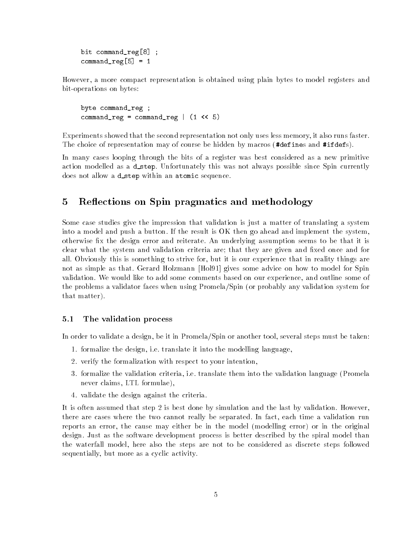bit command\_reg[8] ; $command_reg[5] = 1$ 

However, a more compact representation is obtained using plain bytes to model registers and bit-operations on bytes:

byte command\_reg ; $command_reg = command_reg$  =  $command_reg$  | (1 << 5)

Experiments showed that the second representation not only uses less memory, it also runs faster. The choice of representation may of course be hidden by macros (#defines and #ifdefs).

In many cases looping through the bits of a register was best considered as a new primitive action modelled as a d\_step. Unfortunately this was not always possible since Spin currently does not allow a d\_step within an atomic sequence.

### 5 Reflections on Spin pragmatics and methodology

Some case studies give the impression that validation is just a matter of translating a system into a model and push a button. If the result is OK then go ahead and implement the system, otherwise fix the design error and reiterate. An underlying assumption seems to be that it is clear what the system and validation criteria are; that they are given and fixed once and for all. Obviously this is something to strive for, but it is our experience that in reality things are not as simple as that. Gerard Holzmann [Hol91] gives some advice on how to model for Spin validation. We would like to add some comments based on our experience, and outline some of the problems a validator faces when using Promela/Spin (or probably any validation system for that matter).

#### 5.1The validation process

In order to validate a design, be it in Promela/Spin or another tool, several steps must be taken:

- 1. formalize the design, i.e. translate it into the modelling language,
- 2. verify the formalization with respect to your intention,
- 3. formalize the validation criteria, i.e. translate them into the validation language (Promela never claims, LTL formulae),
- 4. validate the design against the criteria.

It is often assumed that step 2 is best done by simulation and the last by validation. However, there are cases where the two cannot really be separated. In fact, each time a validation run reports an error, the cause may either be in the model (modelling error) or in the original design. Just as the software development process is better described by the spiral model than the waterfall model, here also the steps are not to be considered as discrete steps followed sequentially, but more as a cyclic activity.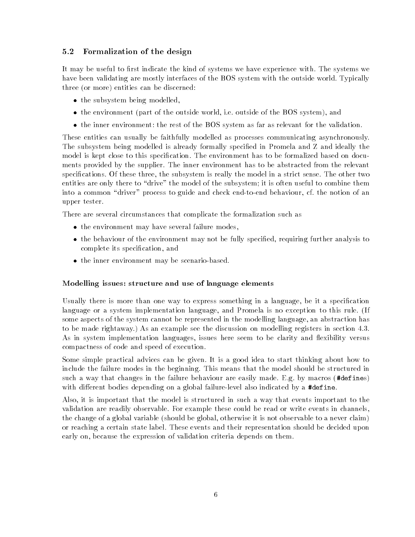### 5.2Formalization of the design

It may be useful to first indicate the kind of systems we have experience with. The systems we have been validating are mostly interfaces of the BOS system with the outside world. Typically three (or more) entities can be discerned:

- the subsystem being modelled,
- the environment (part of the outside world, i.e. outside of the BOS system), and
- the inner environment: the rest of the BOS system as far as relevant for the validation.

These entities can usually be faithfully modelled as processes communicating asynchronously. The subsystem being modelled is already formally specied in Promela and Z and ideally the model is kept close to this specification. The environment has to be formalized based on documents provided by the supplier. The inner environment has to be abstracted from the relevant specifications. Of these three, the subsystem is really the model in a strict sense. The other two entities are only there to "drive" the model of the subsystem; it is often useful to combine them into a common "driver" process to guide and check end-to-end behaviour, cf. the notion of an upper tester.

There are several circumstances that complicate the formalization such as

- the environment may have seen the second failure modes,
- the behaviour of the environment may not be fully specied, requiring further analysis to complete its specication, and
- the inner environment may be scenario-based.

### Modelling issues: structure and use of language elements

Usually there is more than one way to express something in a language, be it a specification language or a system implementation language, and Promela is no exception to this rule. (If some aspects of the system cannot be represented in the modelling language, an abstraction has to be made rightaway.) As an example see the discussion on modelling registers in section 4.3. As in system implementation languages, issues here seem to be clarity and flexibility versus compactness of code and speed of execution.

Some simple practical advices can be given. It is a good idea to start thinking about how to include the failure modes in the beginning. This means that the model should be structured in such a way that changes in the failure behaviour are easily made. E.g. by macros (#defines) with different bodies depending on a global failure-level also indicated by a #define.

Also, it is important that the model is structured in suchaway that events important to the validation are readily observable. For example these could be read or write events in channels, the change of a global variable (should be global, otherwise it is not observable to a never claim) or reaching a certain state label. These events and their representation should be decided upon early on, because the expression of validation criteria depends on them.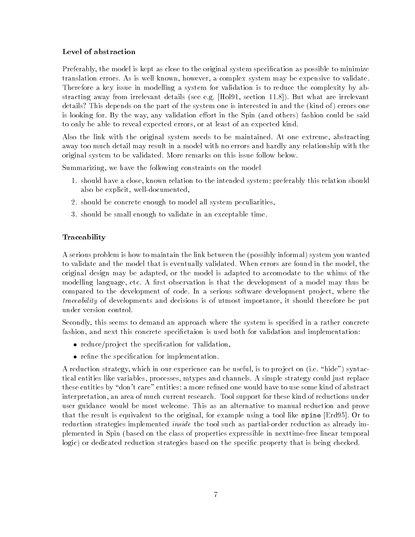### Level of abstraction

Preferably, the model is kept as close to the original system specification as possible to minimize translation errors. As is well known, however, a complex system may be expensive to validate. Therefore a key issue in modelling a system for validation is to reduce the complexity by abstracting away from irrelevant details (see e.g. [Hol91, section 11.8]). But what are irrelevant details? This depends on the part of the system one is interested in and the (kind of) errors one is looking for. By the way, any validation effort in the Spin (and others) fashion could be said to only be able to reveal expected errors, or at least of an expected kind.

Also the link with the original system needs to be maintained. At one extreme, abstracting away too much detail may result in a model with no errors and hardly any relationship with the original system to be validated. More remarks on this issue follow below.

Summarizing, we have the following constraints on the model

- 1. should have a close, known relation to the intended system; preferably this relation should also be explicit, well-documented,
- 2. should be concrete enough to model all system peculiarities,
- 3. should be small enough to validate in an exceptable time.

### Traceability

A serious problem is how to maintain the link between the (possibly informal) system you wanted to validate and the model that is eventually validated. When errors are found in the model, the original design may be adapted, or the model is adapted to accomodate to the whims of the modelling language, etc. A first observation is that the development of a model may thus be compared to the development of code. In a serious software development project, where the traceability of developments and decisions is of utmost importance, it should therefore be put under version control.

Secondly, this seems to demand an approach where the system is specified in a rather concrete fashion, and next this concrete specifictaion is used both for validation and implementation:

- reduce/pro ject the specication for validation,
- re the special special control in the presentation for  $\mathbf{r}$

A reduction strategy, which in our experience can be useful, is to project on  $(i.e. "hide")$  syntactical entities like variables, processes, mtypes and channels. A simple strategy could just replace these entities by "don't care" entities; a more refined one would have to use some kind of abstract interpretation, an area of much current research. Tool support for these kind of reductions under user guidance would be most welcome. This as an alternative to manual reduction and prove that the result is equivalent to the original, for example using a tool like spine [Erd95]. Or to reduction strategies implemented inside the tool such as partial-order reduction as already implemented in Spin (based on the class of properties expressible in nexttime-free linear temporal logic) or dedicated reduction strategies based on the specific property that is being checked.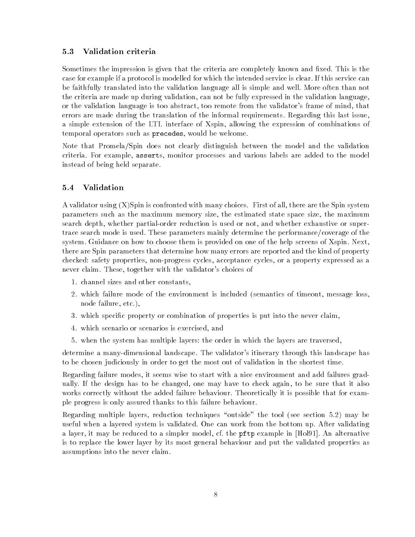#### 5.3Validation criteria

Sometimes the impression is given that the criteria are completely known and fixed. This is the case for example if a protocol is modelled for which the intended service is clear. If this service can be faithfully translated into the validation language all is simple and well. More often than not the criteria are made up during validation, can not be fully expressed in the validation language, or the validation language is too abstract, too remote from the validator's frame of mind, that errors are made during the translation of the informal requirements. Regarding this last issue, a simple extension of the LTL interface of Xspin, allowing the expression of combinations of temporal operators such as precedes, would be welcome.

Note that Promela/Spin does not clearly distinguish between the model and the validation criteria. For example, asserts, monitor processes and various labels are added to the model instead of being held separate.

#### 5.4Validation

A validator using (X)Spin is confronted with many choices. First of all, there are the Spin system parameters such as the maximum memory size, the estimated state space size, the maximum search depth, whether partial-order reduction is used or not, and whether exhaustive or supertrace search mode is used. These parameters mainly determine the performance/coverage of the system. Guidance on how to choose them is provided on one of the help screens of Xspin. Next, there are Spin parameters that determine how many errors are reported and the kind of property checked: safety properties, non-progress cycles, acceptance cycles, or a property expressed as a never claim. These, together with the validator's choices of

- 1. channel sizes and other constants,
- 2. which failure mode of the environment is included (semantics of timeout, message loss, node failure, etc.),
- 3. which specic property or combination of properties is put into the never claim,
- 4. which scenario or scenarios is exercised, and
- 5. when the system has multiple layers: the order in which the layers are traversed,

determine a many-dimensional landscape. The validator's itinerary through this landscape has to be chosen judiciously in order to get the most out of validation in the shortest time.

Regarding failure modes, it seems wise to start with a nice environment and add failures gradually. If the design has to be changed, one may have to check again, to be sure that it also works correctly without the added failure behaviour. Theoretically it is possible that for example progress is only assured thanks to this failure behaviour.

Regarding multiple layers, reduction techniques "outside" the tool (see section 5.2) may be useful when a layered system is validated. One can work from the bottom up. After validating a layer, it may be reduced to a simpler model, cf. the pftp example in [Hol91]. An alternative is to replace the lower layer by its most general behaviour and put the validated properties as assumptions into the never claim.